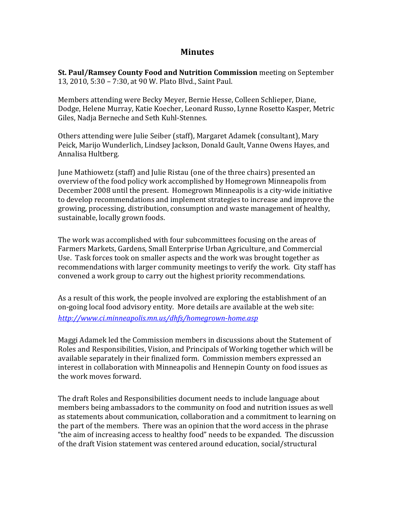## **Minutes**

**St. Paul/Ramsey County Food and Nutrition Commission** meeting on September 13, 2010, 5:30 – 7:30, at 90 W. Plato Blvd., Saint Paul.

Members attending were Becky Meyer, Bernie Hesse, Colleen Schlieper, Diane, Dodge, Helene Murray, Katie Koecher, Leonard Russo, Lynne Rosetto Kasper, Metric Giles, Nadja Berneche and Seth Kuhl‐Stennes.

Others attending were Julie Seiber (staff), Margaret Adamek (consultant), Mary Peick, Marijo Wunderlich, Lindsey Jackson, Donald Gault, Vanne Owens Hayes, and Annalisa Hultberg.

June Mathiowetz (staff) and Julie Ristau (one of the three chairs) presented an overview of the food policy work accomplished by Homegrown Minneapolis from December 2008 until the present. Homegrown Minneapolis is a city-wide initiative to develop recommendations and implement strategies to increase and improve the growing, processing, distribution, consumption and waste management of healthy, sustainable, locally grown foods.

The work was accomplished with four subcommittees focusing on the areas of Farmers Markets, Gardens, Small Enterprise Urban Agriculture, and Commercial Use. Task forces took on smaller aspects and the work was brought together as recommendations with larger community meetings to verify the work. City staff has convened a work group to carry out the highest priority recommendations.

As a result of this work, the people involved are exploring the establishment of an on‐going local food advisory entity. More details are available at the web site: *http://www.ci.minneapolis.mn.us/dhfs/homegrownhome.asp*

Maggi Adamek led the Commission members in discussions about the Statement of Roles and Responsibilities, Vision, and Principals of Working together which will be available separately in their finalized form. Commission members expressed an interest in collaboration with Minneapolis and Hennepin County on food issues as the work moves forward.

The draft Roles and Responsibilities document needs to include language about members being ambassadors to the community on food and nutrition issues as well as statements about communication, collaboration and a commitment to learning on the part of the members. There was an opinion that the word access in the phrase "the aim of increasing access to healthy food" needs to be expanded. The discussion of the draft Vision statement was centered around education, social/structural